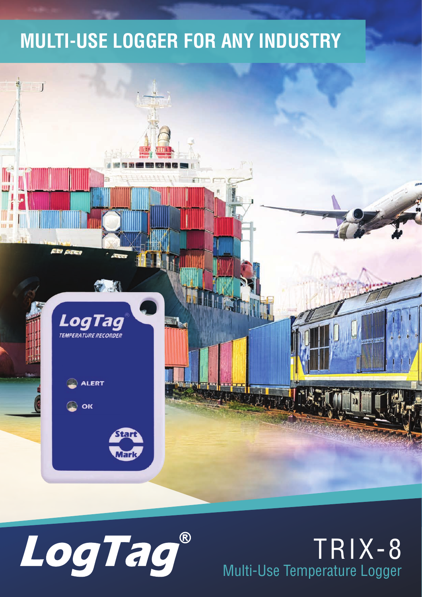#### **MULTI-USE LOGGER FOR ANY INDUSTRY**





#### TRIX-8 Multi-Use Temperature Logger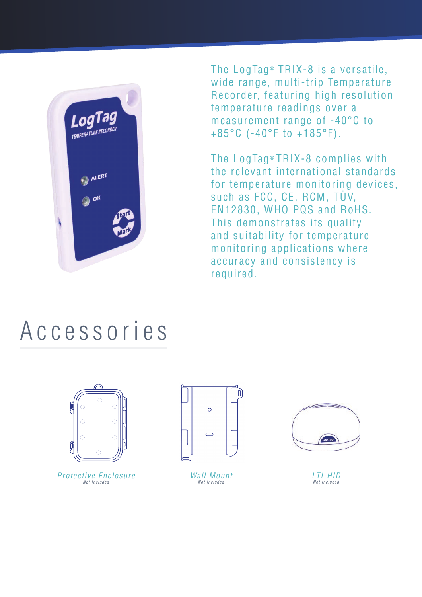

The LogTag<sup>®</sup> TRIX-8 is a versatile. wide range, multi-trip Temperature Recorder, featuring high resolution temperature readings over a measurement range of -40°C to +85°C (-40°F to +185°F).

The LogTag® TRIX-8 complies with the relevant international standards for temperature monitoring devices, such as FCC, CE, RCM, TÜV, EN12830, WHO PQS and RoHS. This demonstrates its quality and suitability for temperature monitoring applications where accuracy and consistency is required.

### Accessories



Protective Enclosure Not Included



Wall Mount Not Included



LTI-HID Not Included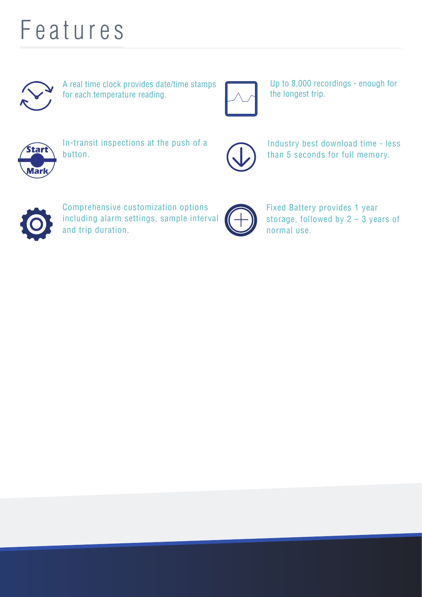### Features



A real time clock provides date/time stamps for each temperature reading.



Up to 8,000 recordings - enough for the longest trip.



In-transit inspections at the push of a button.



Industry best download time - less than 5 seconds for full memory.



Comprehensive customization options including alarm settings, sample interval and trip duration.



Fixed Battery provides 1 year storage, followed by 2 – 3 years of normal use.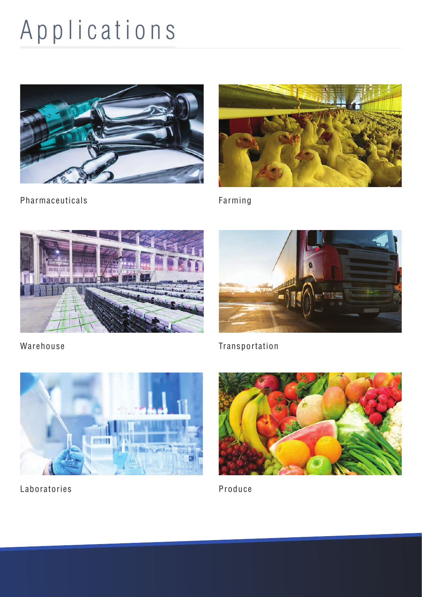# Applications





Pharmaceuticals

Farming





Warehouse





Laboratories



Produce